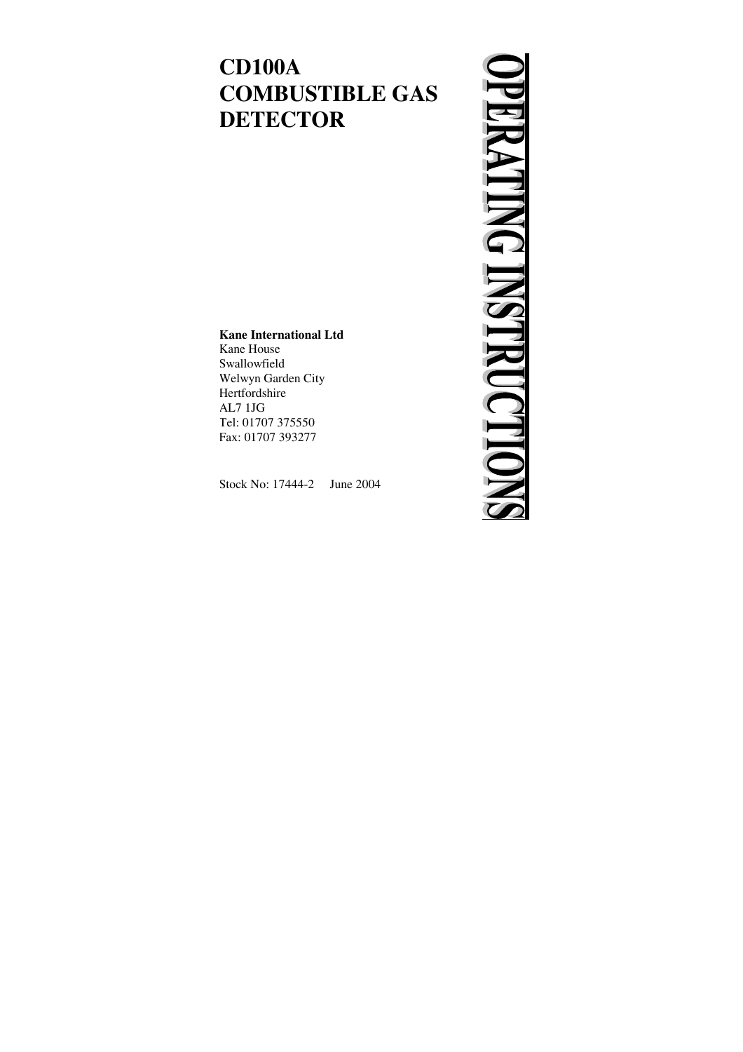# **CD100A COMBUSTIBLE GAS DETECTOR**

# **ERATING INSTRUCTIO**

### **Kane International Ltd**

Kane House Swallowfield Welwyn Garden City Hertfordshire AL7 1JG Tel: 01707 375550 Fax: 01707 393277

Stock No: 17444-2 June 2004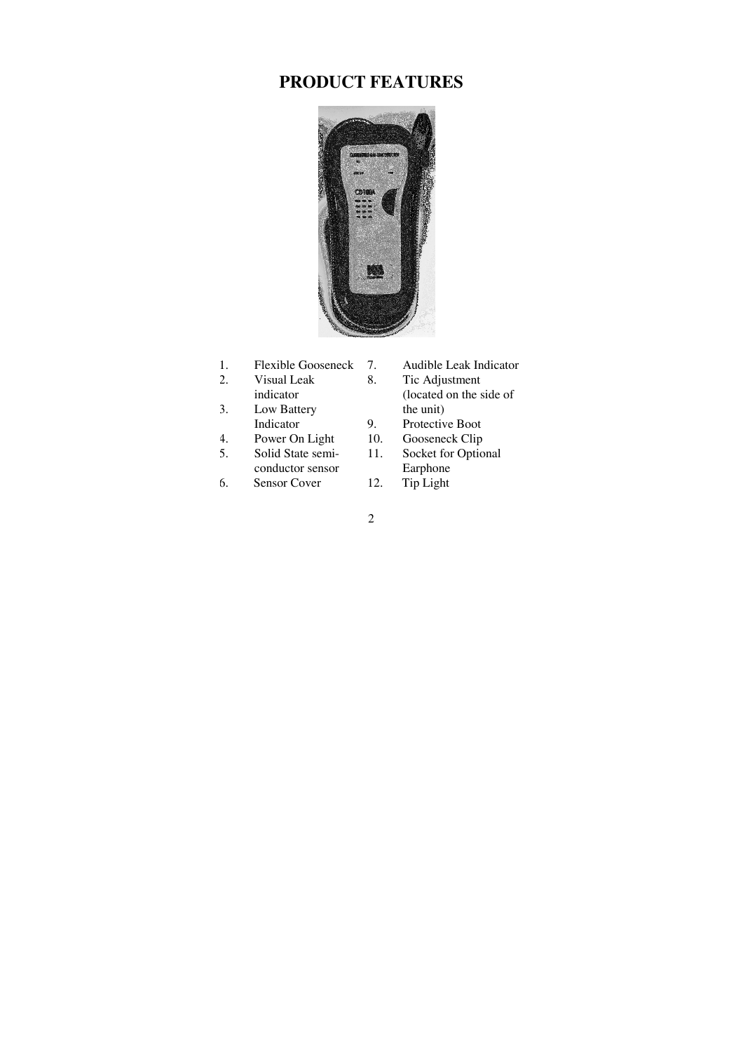# **PRODUCT FEATURES**



- 1. Flexible Gooseneck
- 2. Visual Leak indicator
- 3. Low Battery Indicator
- 4. Power On Light
- 5. Solid State semiconductor sensor
- 6. Sensor Cover
- 7. Audible Leak Indicator
- 8. Tic Adjustment (located on the side of the unit)
- 9. Protective Boot
- 10. Gooseneck Clip
- 11. Socket for Optional Earphone
- 12. Tip Light
- 2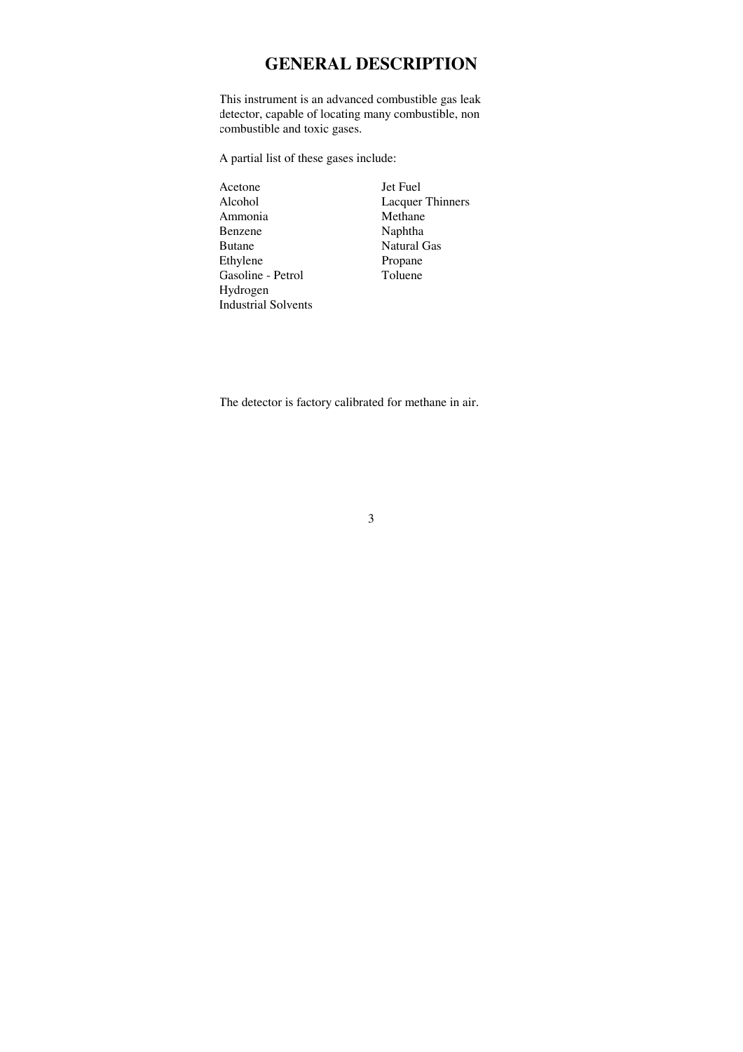### **GENERAL DESCRIPTION**

This instrument is an advanced combustible gas leak detector, capable of locating many combustible, non combustible and toxic gases.

A partial list of these gases include:

Acetone Jet Fuel Alcohol Lacquer Thinners Ammonia Methane Benzene Naphtha Butane Natural Gas Ethylene Petrol Propane<br>
Gasoline - Petrol Toluene Gasoline - Petrol Hydrogen Industrial Solvents

The detector is factory calibrated for methane in air.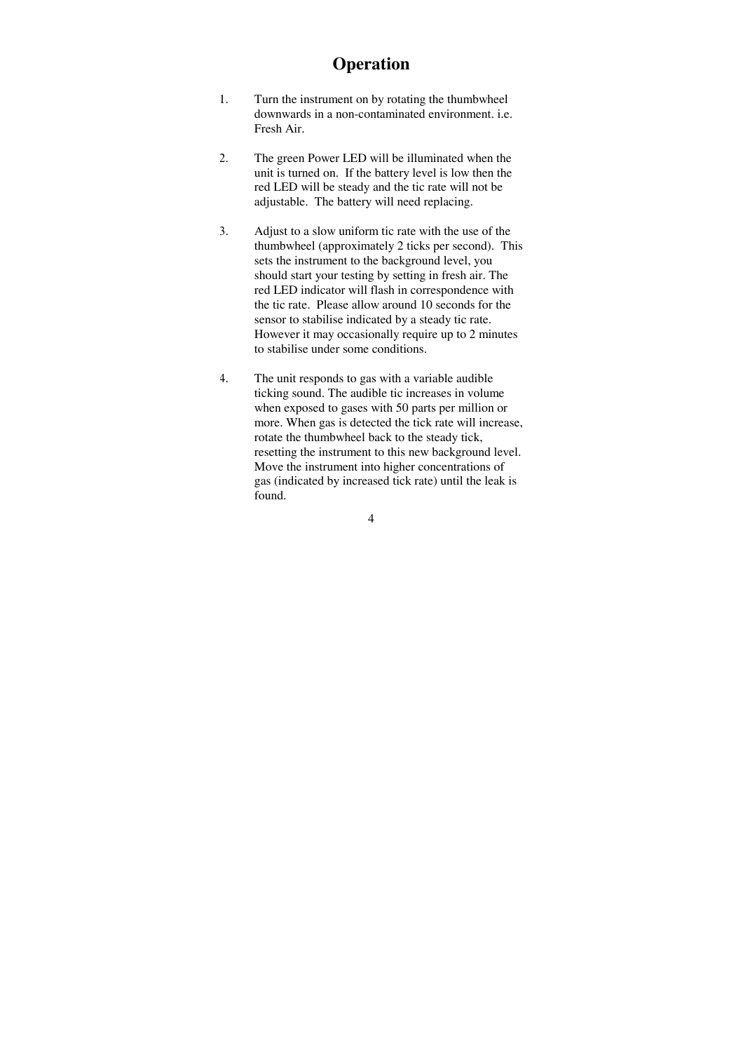### **Operation**

- 1. Turn the instrument on by rotating the thumbwheel downwards in a non-contaminated environment. i.e. Fresh Air.
- 2. The green Power LED will be illuminated when the unit is turned on. If the battery level is low then the red LED will be steady and the tic rate will not be adjustable. The battery will need replacing.
- 3. Adjust to a slow uniform tic rate with the use of the thumbwheel (approximately 2 ticks per second). This sets the instrument to the background level, you should start your testing by setting in fresh air. The red LED indicator will flash in correspondence with the tic rate. Please allow around 10 seconds for the sensor to stabilise indicated by a steady tic rate. However it may occasionally require up to 2 minutes to stabilise under some conditions.
- 4. The unit responds to gas with a variable audible ticking sound. The audible tic increases in volume when exposed to gases with 50 parts per million or more. When gas is detected the tick rate will increase, rotate the thumbwheel back to the steady tick, resetting the instrument to this new background level. Move the instrument into higher concentrations of gas (indicated by increased tick rate) until the leak is found.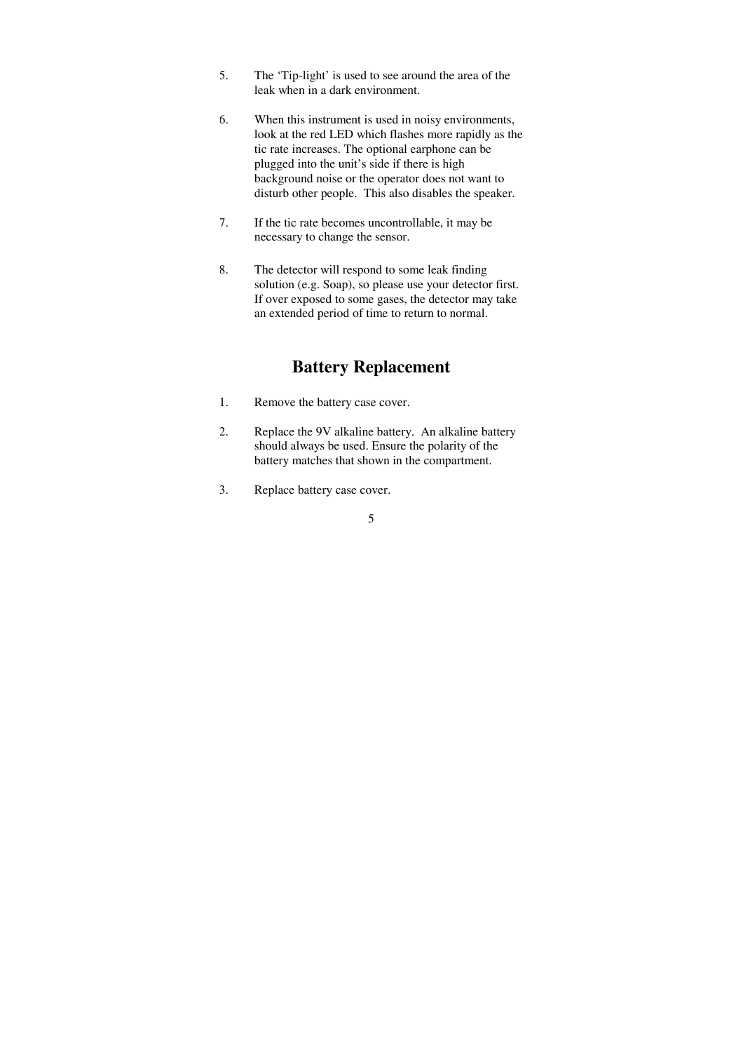- 5. The 'Tip-light' is used to see around the area of the leak when in a dark environment.
- 6. When this instrument is used in noisy environments, look at the red LED which flashes more rapidly as the tic rate increases. The optional earphone can be plugged into the unit's side if there is high background noise or the operator does not want to disturb other people. This also disables the speaker.
- 7. If the tic rate becomes uncontrollable, it may be necessary to change the sensor.
- 8. The detector will respond to some leak finding solution (e.g. Soap), so please use your detector first. If over exposed to some gases, the detector may take an extended period of time to return to normal.

### **Battery Replacement**

- 1. Remove the battery case cover.
- 2. Replace the 9V alkaline battery. An alkaline battery should always be used. Ensure the polarity of the battery matches that shown in the compartment.
- 3. Replace battery case cover.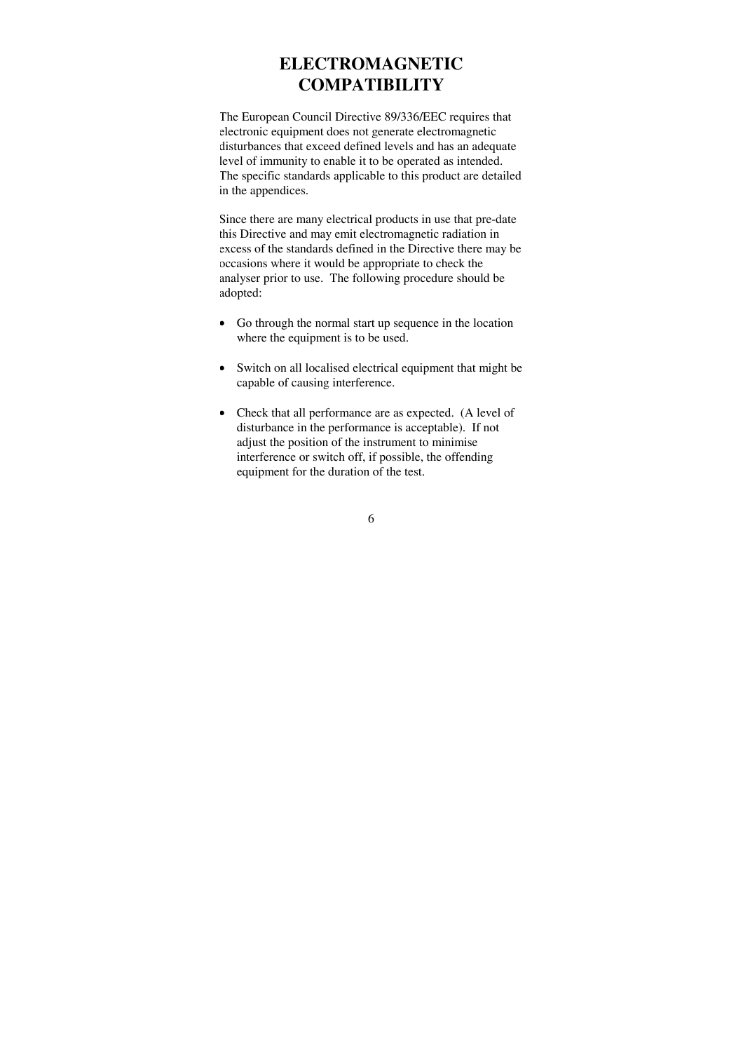### **ELECTROMAGNETIC COMPATIBILITY**

The European Council Directive 89/336/EEC requires that electronic equipment does not generate electromagnetic disturbances that exceed defined levels and has an adequate level of immunity to enable it to be operated as intended. The specific standards applicable to this product are detailed in the appendices.

Since there are many electrical products in use that pre-date this Directive and may emit electromagnetic radiation in excess of the standards defined in the Directive there may be occasions where it would be appropriate to check the analyser prior to use. The following procedure should be adopted:

- Go through the normal start up sequence in the location where the equipment is to be used.
- Switch on all localised electrical equipment that might be capable of causing interference.
- Check that all performance are as expected. (A level of disturbance in the performance is acceptable). If not adjust the position of the instrument to minimise interference or switch off, if possible, the offending equipment for the duration of the test.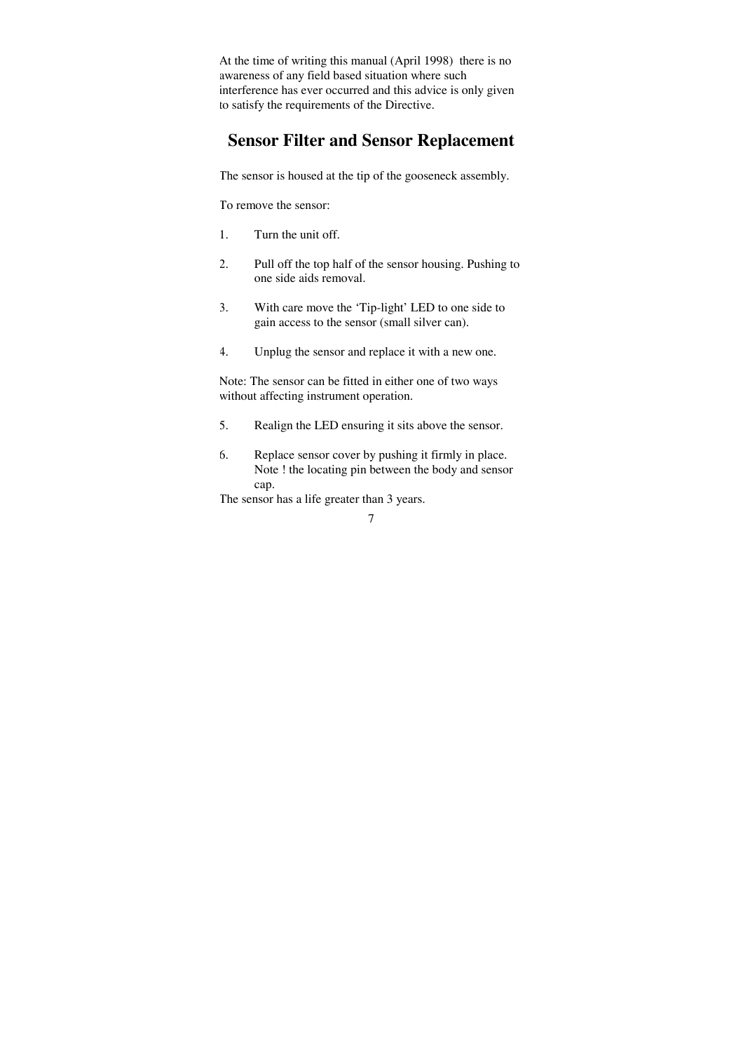At the time of writing this manual (April 1998) there is no awareness of any field based situation where such interference has ever occurred and this advice is only given to satisfy the requirements of the Directive.

# **Sensor Filter and Sensor Replacement**

The sensor is housed at the tip of the gooseneck assembly.

To remove the sensor:

- 1. Turn the unit off.
- 2. Pull off the top half of the sensor housing. Pushing to one side aids removal.
- 3. With care move the 'Tip-light' LED to one side to gain access to the sensor (small silver can).
- 4. Unplug the sensor and replace it with a new one.

Note: The sensor can be fitted in either one of two ways without affecting instrument operation.

- 5. Realign the LED ensuring it sits above the sensor.
- 6. Replace sensor cover by pushing it firmly in place. Note ! the locating pin between the body and sensor cap.

The sensor has a life greater than 3 years.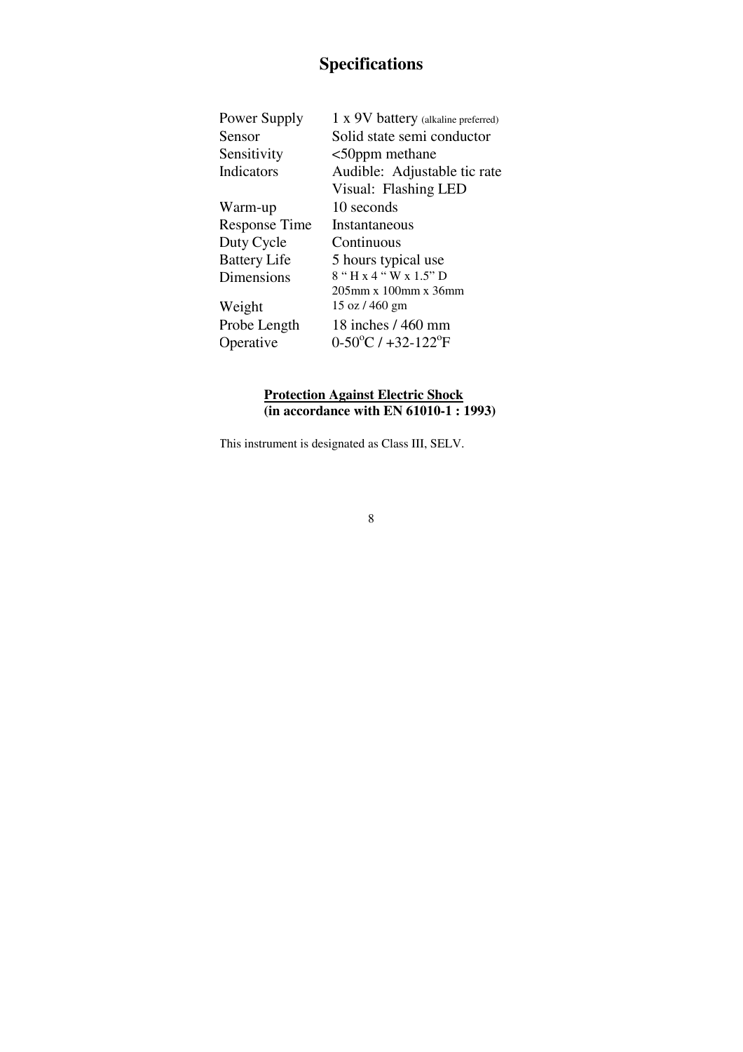# **Specifications**

| Power Supply         | 1 x 9V battery (alkaline preferred)    |
|----------------------|----------------------------------------|
| Sensor               | Solid state semi conductor             |
| Sensitivity          | $<$ 50 ppm methane                     |
| Indicators           | Audible: Adjustable tic rate           |
|                      | Visual: Flashing LED                   |
| Warm-up              | 10 seconds                             |
| <b>Response Time</b> | Instantaneous                          |
| Duty Cycle           | Continuous                             |
| <b>Battery Life</b>  | 5 hours typical use                    |
| Dimensions           | $8.44.44$ W x $1.5.5$ D                |
|                      | $205$ mm x $100$ mm x $36$ mm          |
| Weight               | 15 oz / 460 gm                         |
| Probe Length         | 18 inches / 460 mm                     |
| Operative            | $0-50^{\circ}$ C / $+32-122^{\circ}$ F |
|                      |                                        |

### **Protection Against Electric Shock (in accordance with EN 61010-1 : 1993)**

This instrument is designated as Class III, SELV.